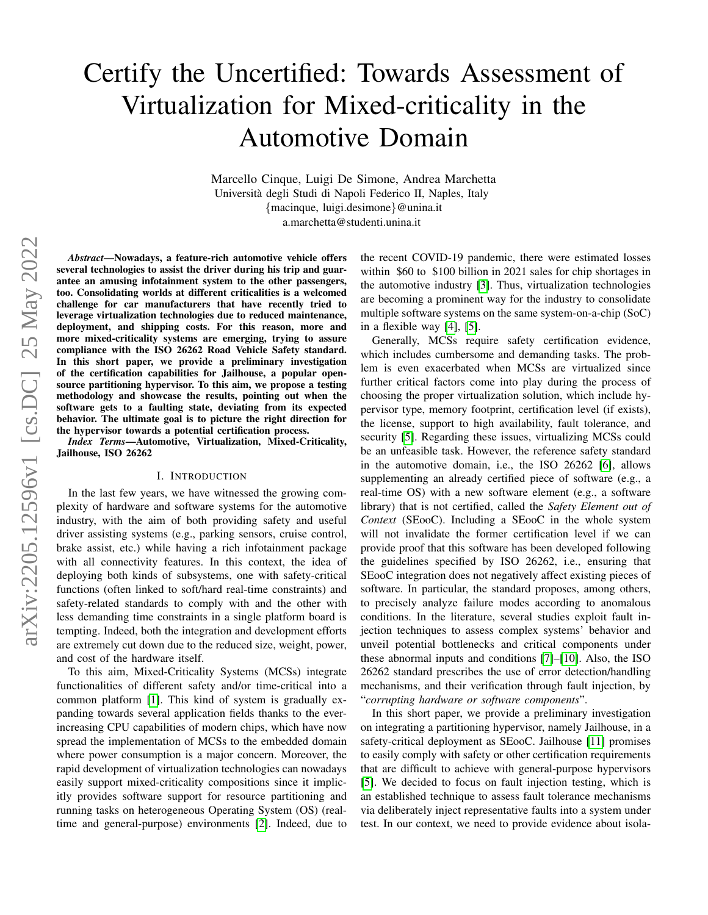# Certify the Uncertified: Towards Assessment of Virtualization for Mixed-criticality in the Automotive Domain

Marcello Cinque, Luigi De Simone, Andrea Marchetta Universita degli Studi di Napoli Federico II, Naples, Italy ` {macinque, luigi.desimone}@unina.it a.marchetta@studenti.unina.it

*Abstract*—Nowadays, a feature-rich automotive vehicle offers several technologies to assist the driver during his trip and guarantee an amusing infotainment system to the other passengers, too. Consolidating worlds at different criticalities is a welcomed challenge for car manufacturers that have recently tried to leverage virtualization technologies due to reduced maintenance, deployment, and shipping costs. For this reason, more and more mixed-criticality systems are emerging, trying to assure compliance with the ISO 26262 Road Vehicle Safety standard. In this short paper, we provide a preliminary investigation of the certification capabilities for Jailhouse, a popular opensource partitioning hypervisor. To this aim, we propose a testing methodology and showcase the results, pointing out when the software gets to a faulting state, deviating from its expected behavior. The ultimate goal is to picture the right direction for the hypervisor towards a potential certification process.

*Index Terms*—Automotive, Virtualization, Mixed-Criticality, Jailhouse, ISO 26262

## I. INTRODUCTION

In the last few years, we have witnessed the growing complexity of hardware and software systems for the automotive industry, with the aim of both providing safety and useful driver assisting systems (e.g., parking sensors, cruise control, brake assist, etc.) while having a rich infotainment package with all connectivity features. In this context, the idea of deploying both kinds of subsystems, one with safety-critical functions (often linked to soft/hard real-time constraints) and safety-related standards to comply with and the other with less demanding time constraints in a single platform board is tempting. Indeed, both the integration and development efforts are extremely cut down due to the reduced size, weight, power, and cost of the hardware itself.

To this aim, Mixed-Criticality Systems (MCSs) integrate functionalities of different safety and/or time-critical into a common platform [\[1\]](#page-3-0). This kind of system is gradually expanding towards several application fields thanks to the everincreasing CPU capabilities of modern chips, which have now spread the implementation of MCSs to the embedded domain where power consumption is a major concern. Moreover, the rapid development of virtualization technologies can nowadays easily support mixed-criticality compositions since it implicitly provides software support for resource partitioning and running tasks on heterogeneous Operating System (OS) (realtime and general-purpose) environments [\[2\]](#page-3-1). Indeed, due to the recent COVID-19 pandemic, there were estimated losses within \$60 to \$100 billion in 2021 sales for chip shortages in the automotive industry [\[3\]](#page-3-2). Thus, virtualization technologies are becoming a prominent way for the industry to consolidate multiple software systems on the same system-on-a-chip (SoC) in a flexible way [\[4\]](#page-3-3), [\[5\]](#page-3-4).

Generally, MCSs require safety certification evidence, which includes cumbersome and demanding tasks. The problem is even exacerbated when MCSs are virtualized since further critical factors come into play during the process of choosing the proper virtualization solution, which include hypervisor type, memory footprint, certification level (if exists), the license, support to high availability, fault tolerance, and security [\[5\]](#page-3-4). Regarding these issues, virtualizing MCSs could be an unfeasible task. However, the reference safety standard in the automotive domain, i.e., the ISO 26262 [\[6\]](#page-3-5), allows supplementing an already certified piece of software (e.g., a real-time OS) with a new software element (e.g., a software library) that is not certified, called the *Safety Element out of Context* (SEooC). Including a SEooC in the whole system will not invalidate the former certification level if we can provide proof that this software has been developed following the guidelines specified by ISO 26262, i.e., ensuring that SEooC integration does not negatively affect existing pieces of software. In particular, the standard proposes, among others, to precisely analyze failure modes according to anomalous conditions. In the literature, several studies exploit fault injection techniques to assess complex systems' behavior and unveil potential bottlenecks and critical components under these abnormal inputs and conditions [\[7\]](#page-3-6)–[\[10\]](#page-3-7). Also, the ISO 26262 standard prescribes the use of error detection/handling mechanisms, and their verification through fault injection, by "*corrupting hardware or software components*".

In this short paper, we provide a preliminary investigation on integrating a partitioning hypervisor, namely Jailhouse, in a safety-critical deployment as SEooC. Jailhouse [\[11\]](#page-3-8) promises to easily comply with safety or other certification requirements that are difficult to achieve with general-purpose hypervisors [\[5\]](#page-3-4). We decided to focus on fault injection testing, which is an established technique to assess fault tolerance mechanisms via deliberately inject representative faults into a system under test. In our context, we need to provide evidence about isola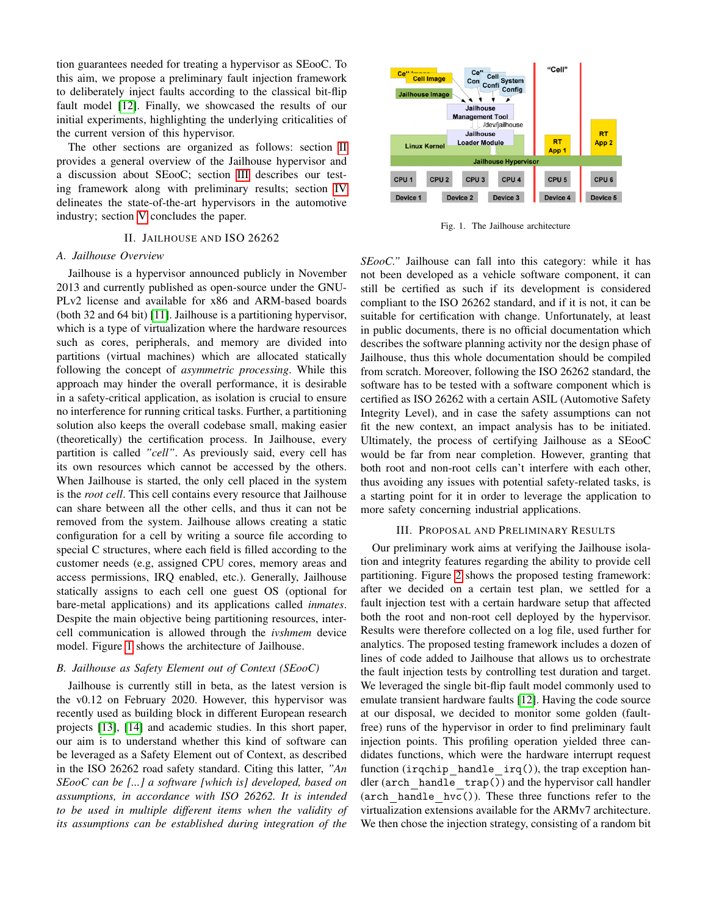tion guarantees needed for treating a hypervisor as SEooC. To this aim, we propose a preliminary fault injection framework to deliberately inject faults according to the classical bit-flip fault model [\[12\]](#page-3-9). Finally, we showcased the results of our initial experiments, highlighting the underlying criticalities of the current version of this hypervisor.

The other sections are organized as follows: section [II](#page-1-0) provides a general overview of the Jailhouse hypervisor and a discussion about SEooC; section [III](#page-1-1) describes our testing framework along with preliminary results; section [IV](#page-2-0) delineates the state-of-the-art hypervisors in the automotive industry; section [V](#page-3-10) concludes the paper.

## II. JAILHOUSE AND ISO 26262

## <span id="page-1-0"></span>*A. Jailhouse Overview*

Jailhouse is a hypervisor announced publicly in November 2013 and currently published as open-source under the GNU-PLv2 license and available for x86 and ARM-based boards (both 32 and 64 bit) [\[11\]](#page-3-8). Jailhouse is a partitioning hypervisor, which is a type of virtualization where the hardware resources such as cores, peripherals, and memory are divided into partitions (virtual machines) which are allocated statically following the concept of *asymmetric processing*. While this approach may hinder the overall performance, it is desirable in a safety-critical application, as isolation is crucial to ensure no interference for running critical tasks. Further, a partitioning solution also keeps the overall codebase small, making easier (theoretically) the certification process. In Jailhouse, every partition is called *"cell"*. As previously said, every cell has its own resources which cannot be accessed by the others. When Jailhouse is started, the only cell placed in the system is the *root cell*. This cell contains every resource that Jailhouse can share between all the other cells, and thus it can not be removed from the system. Jailhouse allows creating a static configuration for a cell by writing a source file according to special C structures, where each field is filled according to the customer needs (e.g, assigned CPU cores, memory areas and access permissions, IRQ enabled, etc.). Generally, Jailhouse statically assigns to each cell one guest OS (optional for bare-metal applications) and its applications called *inmates*. Despite the main objective being partitioning resources, intercell communication is allowed through the *ivshmem* device model. Figure [1](#page-1-2) shows the architecture of Jailhouse.

# *B. Jailhouse as Safety Element out of Context (SEooC)*

Jailhouse is currently still in beta, as the latest version is the v0.12 on February 2020. However, this hypervisor was recently used as building block in different European research projects [\[13\]](#page-3-11), [\[14\]](#page-3-12) and academic studies. In this short paper, our aim is to understand whether this kind of software can be leveraged as a Safety Element out of Context, as described in the ISO 26262 road safety standard. Citing this latter, *"An SEooC can be [...] a software [which is] developed, based on assumptions, in accordance with ISO 26262. It is intended to be used in multiple different items when the validity of its assumptions can be established during integration of the*



<span id="page-1-2"></span>Fig. 1. The Jailhouse architecture

*SEooC."* Jailhouse can fall into this category: while it has not been developed as a vehicle software component, it can still be certified as such if its development is considered compliant to the ISO 26262 standard, and if it is not, it can be suitable for certification with change. Unfortunately, at least in public documents, there is no official documentation which describes the software planning activity nor the design phase of Jailhouse, thus this whole documentation should be compiled from scratch. Moreover, following the ISO 26262 standard, the software has to be tested with a software component which is certified as ISO 26262 with a certain ASIL (Automotive Safety Integrity Level), and in case the safety assumptions can not fit the new context, an impact analysis has to be initiated. Ultimately, the process of certifying Jailhouse as a SEooC would be far from near completion. However, granting that both root and non-root cells can't interfere with each other, thus avoiding any issues with potential safety-related tasks, is a starting point for it in order to leverage the application to more safety concerning industrial applications.

#### III. PROPOSAL AND PRELIMINARY RESULTS

<span id="page-1-1"></span>Our preliminary work aims at verifying the Jailhouse isolation and integrity features regarding the ability to provide cell partitioning. Figure [2](#page-2-1) shows the proposed testing framework: after we decided on a certain test plan, we settled for a fault injection test with a certain hardware setup that affected both the root and non-root cell deployed by the hypervisor. Results were therefore collected on a log file, used further for analytics. The proposed testing framework includes a dozen of lines of code added to Jailhouse that allows us to orchestrate the fault injection tests by controlling test duration and target. We leveraged the single bit-flip fault model commonly used to emulate transient hardware faults [\[12\]](#page-3-9). Having the code source at our disposal, we decided to monitor some golden (faultfree) runs of the hypervisor in order to find preliminary fault injection points. This profiling operation yielded three candidates functions, which were the hardware interrupt request function (irqchip handle irq()), the trap exception handler (arch handle trap()) and the hypervisor call handler (arch handle hvc()). These three functions refer to the virtualization extensions available for the ARMv7 architecture. We then chose the injection strategy, consisting of a random bit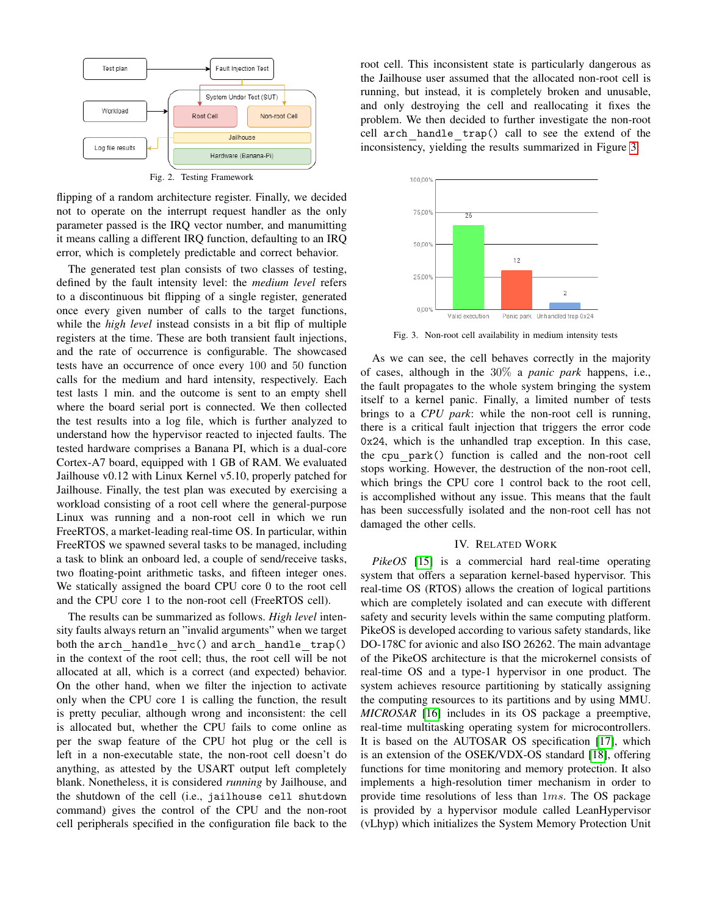

<span id="page-2-1"></span>flipping of a random architecture register. Finally, we decided not to operate on the interrupt request handler as the only parameter passed is the IRQ vector number, and manumitting it means calling a different IRQ function, defaulting to an IRQ

error, which is completely predictable and correct behavior.

The generated test plan consists of two classes of testing, defined by the fault intensity level: the *medium level* refers to a discontinuous bit flipping of a single register, generated once every given number of calls to the target functions, while the *high level* instead consists in a bit flip of multiple registers at the time. These are both transient fault injections, and the rate of occurrence is configurable. The showcased tests have an occurrence of once every 100 and 50 function calls for the medium and hard intensity, respectively. Each test lasts 1 min. and the outcome is sent to an empty shell where the board serial port is connected. We then collected the test results into a log file, which is further analyzed to understand how the hypervisor reacted to injected faults. The tested hardware comprises a Banana PI, which is a dual-core Cortex-A7 board, equipped with 1 GB of RAM. We evaluated Jailhouse v0.12 with Linux Kernel v5.10, properly patched for Jailhouse. Finally, the test plan was executed by exercising a workload consisting of a root cell where the general-purpose Linux was running and a non-root cell in which we run FreeRTOS, a market-leading real-time OS. In particular, within FreeRTOS we spawned several tasks to be managed, including a task to blink an onboard led, a couple of send/receive tasks, two floating-point arithmetic tasks, and fifteen integer ones. We statically assigned the board CPU core 0 to the root cell and the CPU core 1 to the non-root cell (FreeRTOS cell).

The results can be summarized as follows. *High level* intensity faults always return an "invalid arguments" when we target both the arch handle hvc() and arch handle trap() in the context of the root cell; thus, the root cell will be not allocated at all, which is a correct (and expected) behavior. On the other hand, when we filter the injection to activate only when the CPU core 1 is calling the function, the result is pretty peculiar, although wrong and inconsistent: the cell is allocated but, whether the CPU fails to come online as per the swap feature of the CPU hot plug or the cell is left in a non-executable state, the non-root cell doesn't do anything, as attested by the USART output left completely blank. Nonetheless, it is considered *running* by Jailhouse, and the shutdown of the cell (i.e., jailhouse cell shutdown command) gives the control of the CPU and the non-root cell peripherals specified in the configuration file back to the root cell. This inconsistent state is particularly dangerous as the Jailhouse user assumed that the allocated non-root cell is running, but instead, it is completely broken and unusable, and only destroying the cell and reallocating it fixes the problem. We then decided to further investigate the non-root cell arch handle trap() call to see the extend of the inconsistency, yielding the results summarized in Figure [3:](#page-2-2)



<span id="page-2-2"></span>Fig. 3. Non-root cell availability in medium intensity tests

As we can see, the cell behaves correctly in the majority of cases, although in the 30% a *panic park* happens, i.e., the fault propagates to the whole system bringing the system itself to a kernel panic. Finally, a limited number of tests brings to a *CPU park*: while the non-root cell is running, there is a critical fault injection that triggers the error code 0x24, which is the unhandled trap exception. In this case, the cpu park() function is called and the non-root cell stops working. However, the destruction of the non-root cell, which brings the CPU core 1 control back to the root cell, is accomplished without any issue. This means that the fault has been successfully isolated and the non-root cell has not damaged the other cells.

## IV. RELATED WORK

<span id="page-2-0"></span>*PikeOS* [\[15\]](#page-3-13) is a commercial hard real-time operating system that offers a separation kernel-based hypervisor. This real-time OS (RTOS) allows the creation of logical partitions which are completely isolated and can execute with different safety and security levels within the same computing platform. PikeOS is developed according to various safety standards, like DO-178C for avionic and also ISO 26262. The main advantage of the PikeOS architecture is that the microkernel consists of real-time OS and a type-1 hypervisor in one product. The system achieves resource partitioning by statically assigning the computing resources to its partitions and by using MMU. *MICROSAR* [\[16\]](#page-3-14) includes in its OS package a preemptive, real-time multitasking operating system for microcontrollers. It is based on the AUTOSAR OS specification [\[17\]](#page-3-15), which is an extension of the OSEK/VDX-OS standard [\[18\]](#page-3-16), offering functions for time monitoring and memory protection. It also implements a high-resolution timer mechanism in order to provide time resolutions of less than 1ms. The OS package is provided by a hypervisor module called LeanHypervisor (vLhyp) which initializes the System Memory Protection Unit